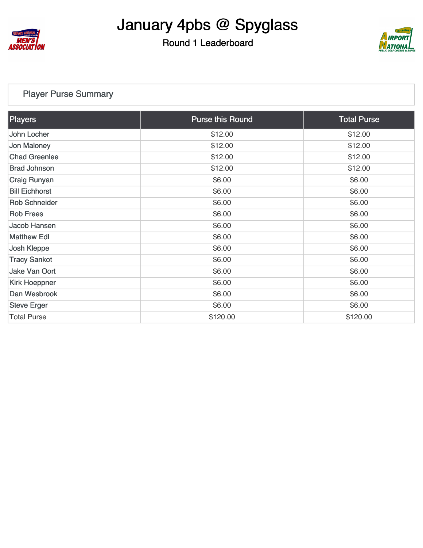

#### Round 1 Leaderboard



#### [Player Purse Summary](https://cdn2.golfgenius.com/v2tournaments/total_purse?league_id=8155206451103564727&round_id=8155207620307747443)

| Players               | <b>Purse this Round</b> | <b>Total Purse</b> |
|-----------------------|-------------------------|--------------------|
| John Locher           | \$12.00                 | \$12.00            |
| Jon Maloney           | \$12.00                 | \$12.00            |
| <b>Chad Greenlee</b>  | \$12.00                 | \$12.00            |
| <b>Brad Johnson</b>   | \$12.00                 | \$12.00            |
| <b>Craig Runyan</b>   | \$6.00                  | \$6.00             |
| <b>Bill Eichhorst</b> | \$6.00                  | \$6.00             |
| <b>Rob Schneider</b>  | \$6.00                  | \$6.00             |
| <b>Rob Frees</b>      | \$6.00                  | \$6.00             |
| Jacob Hansen          | \$6.00                  | \$6.00             |
| <b>Matthew Edl</b>    | \$6.00                  | \$6.00             |
| <b>Josh Kleppe</b>    | \$6.00                  | \$6.00             |
| <b>Tracy Sankot</b>   | \$6.00                  | \$6.00             |
| Jake Van Oort         | \$6.00                  | \$6.00             |
| <b>Kirk Hoeppner</b>  | \$6.00                  | \$6.00             |
| Dan Wesbrook          | \$6.00                  | \$6.00             |
| <b>Steve Erger</b>    | \$6.00                  | \$6.00             |
| <b>Total Purse</b>    | \$120.00                | \$120.00           |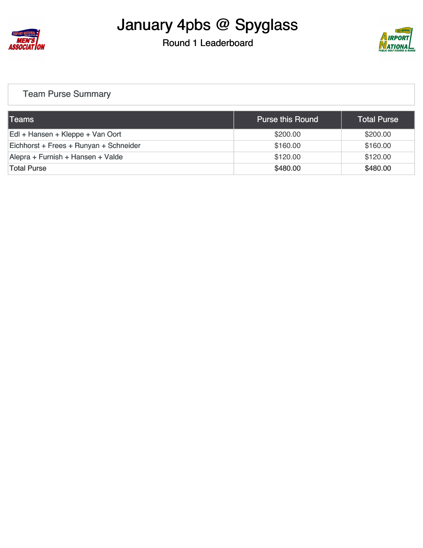

#### Round 1 Leaderboard



#### [Team Purse Summary](https://cdn2.golfgenius.com/v2tournaments/team_purse?league_id=8155206451103564727&round_id=8155207620307747443)

| <b>Teams</b>                           | <b>Purse this Round</b> | <b>Total Purse</b> |
|----------------------------------------|-------------------------|--------------------|
| Edl + Hansen + Kleppe + Van Oort       | \$200.00                | \$200.00           |
| Eichhorst + Frees + Runyan + Schneider | \$160.00                | \$160.00           |
| Alepra + Furnish + Hansen + Valde      | \$120.00                | \$120.00           |
| <b>Total Purse</b>                     | \$480.00                | \$480.00           |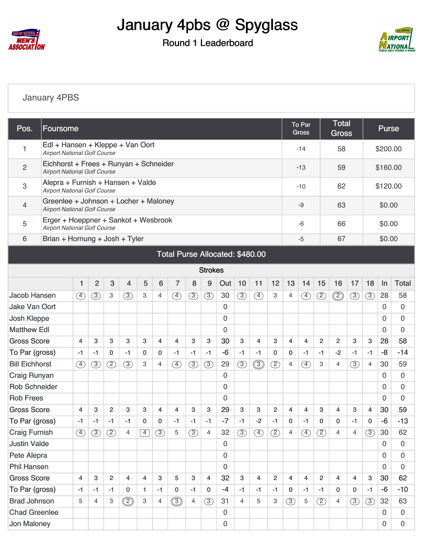

### Round 1 Leaderboard



#### [January 4PBS](https://cdn2.golfgenius.com/v2tournaments/8155213027168256647?called_from=&round_index=1)

| Pos.                            | Foursome                                                                      |               |                |                |                |              |                |                |               |                |                     |               |                   |                |                | To Par<br><b>Gross</b> |                | <b>Total</b><br><b>Gross</b> |               |                | <b>Purse</b> |                  |  |  |
|---------------------------------|-------------------------------------------------------------------------------|---------------|----------------|----------------|----------------|--------------|----------------|----------------|---------------|----------------|---------------------|---------------|-------------------|----------------|----------------|------------------------|----------------|------------------------------|---------------|----------------|--------------|------------------|--|--|
| 1                               | Edl + Hansen + Kleppe + Van Oort<br><b>Airport National Golf Course</b>       |               |                |                |                |              |                |                |               |                |                     |               |                   |                |                | $-14$                  |                | 58                           |               |                | \$200.00     |                  |  |  |
| $\mathbf{2}$                    | Eichhorst + Frees + Runyan + Schneider<br><b>Airport National Golf Course</b> |               |                |                |                |              |                |                |               |                |                     |               |                   |                |                | $-13$                  |                | 59                           |               |                | \$160.00     |                  |  |  |
| 3                               | Alepra + Furnish + Hansen + Valde<br><b>Airport National Golf Course</b>      |               |                |                |                |              |                |                |               |                |                     |               |                   |                |                | $-10$                  |                | 62                           |               |                | \$120.00     |                  |  |  |
| 4                               | Greenlee + Johnson + Locher + Maloney<br><b>Airport National Golf Course</b>  |               |                |                |                |              |                |                |               |                |                     |               |                   |                |                | $-9$                   |                | 63                           |               |                | \$0.00       |                  |  |  |
| 5                               | Erger + Hoeppner + Sankot + Wesbrook<br><b>Airport National Golf Course</b>   |               |                |                |                |              |                |                |               |                |                     |               |                   |                |                | $-6$                   |                | 66                           |               | \$0.00         |              |                  |  |  |
| 6                               | Brian + Hornung + Josh + Tyler                                                |               |                |                |                |              |                |                |               |                |                     |               |                   |                |                | $-5$                   |                | 67                           |               | \$0.00         |              |                  |  |  |
| Total Purse Allocated: \$480.00 |                                                                               |               |                |                |                |              |                |                |               |                |                     |               |                   |                |                |                        |                |                              |               |                |              |                  |  |  |
|                                 | <b>Strokes</b>                                                                |               |                |                |                |              |                |                |               |                |                     |               |                   |                |                |                        |                |                              |               |                |              |                  |  |  |
|                                 |                                                                               | $\mathbf{1}$  | $\overline{2}$ | 3              | $\overline{4}$ | 5            | 6              | $\overline{7}$ | 8             | 9              | Out                 | 10            | 11                | 12             | 13             | 14                     | 15             | 16                           | 17            | 18             | $\ln$        | <b>Total</b>     |  |  |
| <b>Jacob Hansen</b>             |                                                                               | ④             | $\circled{3}$  | 3              | $\circled{3}$  | 3            | $\overline{4}$ | F)             | $\circled{3}$ | $\circled{3}$  | 30                  | (3)           | $\left( 4\right)$ | 3              | 4              | $\circled{4}$          | $\circled{2}$  | $^{\circledR}$               | $\circled{3}$ | (3)            | 28           | 58               |  |  |
| <b>Jake Van Oort</b>            |                                                                               |               |                |                |                |              |                |                |               | 0              |                     |               |                   |                |                |                        |                |                              |               | $\Omega$       | 0            |                  |  |  |
| <b>Josh Kleppe</b>              |                                                                               |               |                |                |                |              |                |                |               |                | 0                   |               |                   |                |                |                        |                |                              |               |                | $\Omega$     | $\overline{0}$   |  |  |
| <b>Matthew Edl</b>              |                                                                               |               |                |                |                |              |                |                |               |                | 0                   |               |                   |                |                |                        |                |                              |               |                | $\Omega$     | 0                |  |  |
| <b>Gross Score</b>              |                                                                               | 4             | 3              | 3              | 3              | 3            | $\overline{4}$ | 4              | 3             | 3              | 30                  | 3             | 4                 | 3              | $\overline{4}$ | $\overline{4}$         | $\overline{2}$ | 2                            | 3             | 3              | 28           | 58               |  |  |
| To Par (gross)                  |                                                                               | -1            | $-1$           | $\mathbf{0}$   | $-1$           | $\mathbf{0}$ | $\mathbf{0}$   | -1             | $-1$          | $-1$           | $-6$                | $-1$          | $-1$              | $\mathbf{0}$   | 0              | $-1$                   | $-1$           | $-2$                         | $-1$          | $-1$           | $-8$         | $-14$            |  |  |
| <b>Bill Eichhorst</b>           |                                                                               | $\circled{4}$ | $\circled{3}$  | $\circled{2}$  | $\circled{3}$  | 3            | $\overline{4}$ | F)             | $\circled{3}$ | $\circled{3}$  | 29                  | $\circled{3}$ | $\circledS$       | (2)            | $\overline{4}$ | $\left( 4\right)$      | 3              | $\overline{4}$               | $\circled{3}$ | $\overline{4}$ | 30           | 59               |  |  |
| <b>Craig Runyan</b>             |                                                                               |               |                |                |                |              |                |                |               |                | 0                   |               |                   |                |                |                        |                |                              |               |                | $\Omega$     | 0                |  |  |
| <b>Rob Schneider</b>            |                                                                               |               |                |                |                |              |                |                |               |                | $\overline{0}$      |               |                   |                |                |                        |                |                              |               |                | $\Omega$     | $\overline{0}$   |  |  |
| <b>Rob Frees</b>                |                                                                               |               |                |                |                |              |                |                |               |                | 0                   |               |                   |                |                |                        |                |                              |               |                | $\Omega$     | 0                |  |  |
| <b>Gross Score</b>              |                                                                               | 4             | 3              | $\overline{2}$ | 3              | 3            | $\overline{4}$ | 4              | 3             | 3              | 29                  | 3             | 3                 | 2              | 4              | 4                      | 3              | $\overline{4}$               | 3             | 4              | 30           | 59               |  |  |
| To Par (gross)                  |                                                                               | -1            | $-1$           | $-1$           | -1             | 0            | 0              | -1             | $-1$          | $-1$           | $-7$                | -1            | $-2$              | $-1$           | 0              | $-1$                   | $\mathbf{0}$   | $\mathbf 0$                  | -1            | $\mathbf 0$    | $-6$         | $-13$            |  |  |
| <b>Craig Furnish</b>            |                                                                               | ④             | $\circled{3}$  | $\circled{2}$  | 4              | $\boxed{4}$  | $\circled{3}$  | 5              | $\circled{3}$ | 4              | 32                  | $\circled{3}$ | ④                 | $\circled{2}$  | 4              | ④                      | $\circled{2}$  | $\overline{4}$               | 4             | $\circled{3}$  | 30           | 62               |  |  |
| <b>Justin Valde</b>             |                                                                               |               |                |                |                |              |                |                |               |                | 0                   |               |                   |                |                |                        |                |                              |               |                | $\mathbf 0$  | 0                |  |  |
| Pete Alepra                     |                                                                               |               |                |                |                |              |                |                |               |                | $\mathsf{O}\xspace$ |               |                   |                |                |                        |                |                              |               |                | $\mathbf 0$  | $\mathbf 0$      |  |  |
| <b>Phil Hansen</b>              |                                                                               |               |                |                |                |              |                |                |               |                | 0                   |               |                   |                |                |                        |                |                              |               |                | $\Omega$     | $\Omega$         |  |  |
| <b>Gross Score</b>              |                                                                               | 4             | 3              | $\overline{c}$ | 4              | 4            | 3              | 5              | 3             | $\overline{4}$ | 32                  | 3             | $\overline{4}$    | $\overline{2}$ | 4              | $\overline{4}$         | 2              | $\overline{4}$               | 4             | 3              | 30           | 62               |  |  |
| To Par (gross)                  |                                                                               | $-1$          | $-1$           | $-1$           | 0              | $\mathbf{1}$ | $-1$           | $\mathbf 0$    | $-1$          | 0              | $-4$                | $-1$          | $-1$              | -1             | 0              | $-1$                   | $-1$           | 0                            | 0             | $-1$           | $-6$         | $-10$            |  |  |
| <b>Brad Johnson</b>             |                                                                               | 5             | 4              | 3              | ◎              | 3            | 4              | $\circledS$    | 4             | $\circled{3}$  | 31                  | 4             | 5                 | 3              | $\circled{3}$  | 5                      | $\circled{2}$  | $\overline{4}$               | $\circled{3}$ | $\circled{3}$  | 32           | 63               |  |  |
| <b>Chad Greenlee</b>            |                                                                               |               |                |                |                |              |                |                |               |                | $\mathsf{O}\xspace$ |               |                   |                |                |                        |                |                              |               |                | $\mathbf{0}$ | 0                |  |  |
| <b>Jon Maloney</b>              |                                                                               |               |                |                |                |              |                |                |               |                | $\mathsf{O}\xspace$ |               |                   |                |                |                        |                |                              |               |                | $\mathbf 0$  | $\boldsymbol{0}$ |  |  |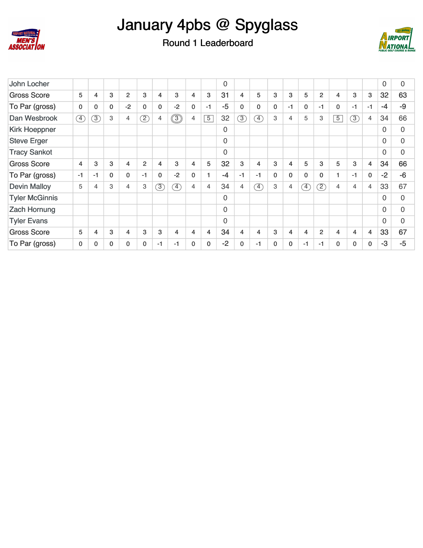



Round 1 Leaderboard

| John Locher           |              |                          |              |                |                 |               |             |                |                | $\mathbf 0$  |                |                |              |              |                             |                |                |                |                | 0        | 0              |
|-----------------------|--------------|--------------------------|--------------|----------------|-----------------|---------------|-------------|----------------|----------------|--------------|----------------|----------------|--------------|--------------|-----------------------------|----------------|----------------|----------------|----------------|----------|----------------|
| <b>Gross Score</b>    | 5            | 4                        | 3            | 2              | 3               | 4             | 3           | 4              | 3              | 31           | 4              | 5              | 3            | 3            | 5                           | $\overline{2}$ | $\overline{4}$ | 3              | 3              | 32       | 63             |
| To Par (gross)        | $\mathbf{0}$ | $\mathbf{0}$             | $\mathbf{0}$ | $-2$           | 0               | $\mathbf{0}$  | $-2$        | $\mathbf{0}$   | $-1$           | $-5$         | 0              | $\mathbf{0}$   | $\mathbf{0}$ | $-1$         | $\mathbf{0}$                | -1             | $\mathbf 0$    | $-1$           | $-1$           | -4       | -9             |
| Dan Wesbrook          | F)           | $\overline{\mathcal{E}}$ | 3            | $\overline{4}$ | $\overline{2})$ | 4             | $\circledS$ | $\overline{4}$ | $\overline{5}$ | 32           | $\circled{3}$  | $\overline{4}$ | 3            | 4            | 5                           | 3              | $\overline{5}$ | $\circled{3}$  | $\overline{4}$ | 34       | 66             |
| Kirk Hoeppner         |              |                          |              |                |                 |               |             |                |                | $\mathbf{0}$ |                |                |              |              |                             |                |                |                |                | 0        | $\overline{0}$ |
| <b>Steve Erger</b>    |              |                          |              |                |                 |               |             |                |                | $\Omega$     |                |                |              |              |                             |                |                |                |                | $\Omega$ | $\overline{0}$ |
| <b>Tracy Sankot</b>   |              |                          |              |                |                 |               |             |                |                | $\Omega$     |                |                |              |              |                             |                |                |                |                | $\Omega$ | $\overline{0}$ |
| <b>Gross Score</b>    | 4            | 3                        | 3            | 4              | $\overline{2}$  | 4             | 3           | 4              | 5              | 32           | 3              | 4              | 3            | 4            | 5                           | 3              | 5              | 3              | $\overline{4}$ | 34       | 66             |
| To Par (gross)        | $-1$         | $-1$                     | $\Omega$     | 0              | $-1$            | $\mathbf{0}$  | $-2$        | 0              |                | $-4$         | $-1$           | $-1$           | $\mathbf{0}$ | $\mathbf{0}$ | $\mathbf{0}$                | $\mathbf 0$    | 1              | $-1$           | $\mathbf 0$    | $-2$     | $-6$           |
| <b>Devin Malloy</b>   | 5            | 4                        | 3            | 4              | З               | $\circled{3}$ | $\circledA$ | $\overline{4}$ | 4              | 34           | $\overline{4}$ | $\circled{4}$  | 3            | 4            | $\left(\overline{4}\right)$ | (2)            | $\overline{4}$ | $\overline{4}$ | $\overline{4}$ | 33       | 67             |
| <b>Tyler McGinnis</b> |              |                          |              |                |                 |               |             |                |                | $\Omega$     |                |                |              |              |                             |                |                |                |                | $\Omega$ | $\Omega$       |
| <b>Zach Hornung</b>   |              |                          |              |                |                 |               |             |                |                | $\Omega$     |                |                |              |              |                             |                |                |                |                | $\Omega$ | $\overline{0}$ |
| <b>Tyler Evans</b>    |              |                          |              |                |                 |               |             |                |                | $\Omega$     |                |                |              |              |                             |                |                |                |                | $\Omega$ | $\overline{0}$ |
| <b>Gross Score</b>    | 5            | 4                        | 3            | 4              | 3               | 3             | 4           | 4              | 4              | 34           | 4              | 4              | 3            | 4            | 4                           | $\overline{2}$ | 4              | 4              | $\overline{4}$ | 33       | 67             |
| To Par (gross)        | 0            | 0                        | $\Omega$     | $\mathbf{0}$   | 0               | -1            | -1          | $\mathbf{0}$   | $\mathbf{0}$   | $-2$         | $\Omega$       | $-1$           | 0            | 0            | $-1$                        | -1             | $\mathbf 0$    | $\mathbf{0}$   | $\mathbf 0$    | -3       | $-5$           |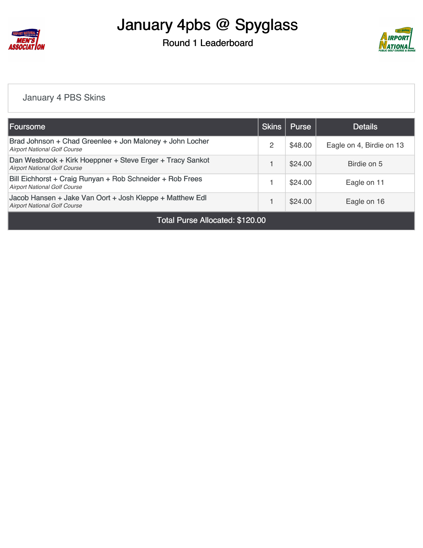

Round 1 Leaderboard



#### [January 4 PBS Skins](https://cdn2.golfgenius.com/v2tournaments/8155213916360704648?called_from=&round_index=1)

| <b> Foursome</b>                                                                                                          | <b>Skins</b>   | <b>Purse</b> | <b>Details</b>           |  |  |  |  |  |  |  |  |
|---------------------------------------------------------------------------------------------------------------------------|----------------|--------------|--------------------------|--|--|--|--|--|--|--|--|
| Brad Johnson + Chad Greenlee + Jon Maloney + John Locher<br><b>Airport National Golf Course</b>                           | $\overline{2}$ | \$48.00      | Eagle on 4, Birdie on 13 |  |  |  |  |  |  |  |  |
| Dan Wesbrook + Kirk Hoeppner + Steve Erger + Tracy Sankot<br><b>Airport National Golf Course</b>                          |                | \$24.00      | Birdie on 5              |  |  |  |  |  |  |  |  |
| Bill Eichhorst + Craig Runyan + Rob Schneider + Rob Frees<br><b>Airport National Golf Course</b>                          |                | \$24.00      | Eagle on 11              |  |  |  |  |  |  |  |  |
| Jacob Hansen + Jake Van Oort + Josh Kleppe + Matthew Edl<br>\$24.00<br>Eagle on 16<br><b>Airport National Golf Course</b> |                |              |                          |  |  |  |  |  |  |  |  |
| Total Purse Allocated: \$120.00                                                                                           |                |              |                          |  |  |  |  |  |  |  |  |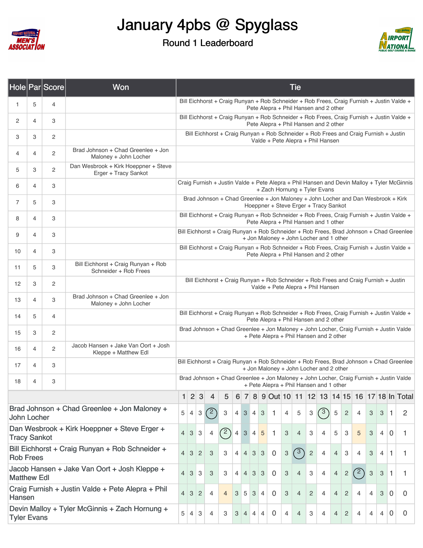

#### Round 1 Leaderboard



|                                                                    |                | Hole Par Score                                 | Won                                                                                                                                                  |                                                                                                                                    |                |                           |                |                |                |                |                                               |                           |                                                                                                                           |                           | <b>Tie</b>     |                |                |                |                |     |                |                           |                |                                                                                            |
|--------------------------------------------------------------------|----------------|------------------------------------------------|------------------------------------------------------------------------------------------------------------------------------------------------------|------------------------------------------------------------------------------------------------------------------------------------|----------------|---------------------------|----------------|----------------|----------------|----------------|-----------------------------------------------|---------------------------|---------------------------------------------------------------------------------------------------------------------------|---------------------------|----------------|----------------|----------------|----------------|----------------|-----|----------------|---------------------------|----------------|--------------------------------------------------------------------------------------------|
| 1                                                                  | 5              | 4                                              |                                                                                                                                                      |                                                                                                                                    |                |                           |                |                |                |                |                                               |                           | Pete Alepra + Phil Hansen and 2 other                                                                                     |                           |                |                |                |                |                |     |                |                           |                | Bill Eichhorst + Craig Runyan + Rob Schneider + Rob Frees, Craig Furnish + Justin Valde +  |
| 2                                                                  | 4              | 3                                              |                                                                                                                                                      |                                                                                                                                    |                |                           |                |                |                |                |                                               |                           | Pete Alepra + Phil Hansen and 2 other                                                                                     |                           |                |                |                |                |                |     |                |                           |                | Bill Eichhorst + Craig Runyan + Rob Schneider + Rob Frees, Craig Furnish + Justin Valde +  |
| 3                                                                  | 3              | $\overline{c}$                                 |                                                                                                                                                      |                                                                                                                                    |                |                           |                |                |                |                |                                               |                           | Bill Eichhorst + Craig Runyan + Rob Schneider + Rob Frees and Craig Furnish + Justin<br>Valde + Pete Alepra + Phil Hansen |                           |                |                |                |                |                |     |                |                           |                |                                                                                            |
| 4                                                                  | 4              | $\overline{c}$                                 | Brad Johnson + Chad Greenlee + Jon<br>Maloney + John Locher                                                                                          |                                                                                                                                    |                |                           |                |                |                |                |                                               |                           |                                                                                                                           |                           |                |                |                |                |                |     |                |                           |                |                                                                                            |
| 5                                                                  | 3              | $\overline{c}$                                 | Dan Wesbrook + Kirk Hoeppner + Steve<br>Erger + Tracy Sankot                                                                                         |                                                                                                                                    |                |                           |                |                |                |                |                                               |                           |                                                                                                                           |                           |                |                |                |                |                |     |                |                           |                |                                                                                            |
| 6                                                                  | $\overline{4}$ | 3                                              |                                                                                                                                                      |                                                                                                                                    |                |                           |                |                |                |                |                                               |                           | + Zach Hornung + Tyler Evans                                                                                              |                           |                |                |                |                |                |     |                |                           |                | Craig Furnish + Justin Valde + Pete Alepra + Phil Hansen and Devin Malloy + Tyler McGinnis |
| 7                                                                  | 5              | 3                                              |                                                                                                                                                      |                                                                                                                                    |                |                           |                |                |                |                |                                               |                           | Brad Johnson + Chad Greenlee + Jon Maloney + John Locher and Dan Wesbrook + Kirk<br>Hoeppner + Steve Erger + Tracy Sankot |                           |                |                |                |                |                |     |                |                           |                |                                                                                            |
| 8                                                                  | 4              | 3                                              |                                                                                                                                                      |                                                                                                                                    |                |                           |                |                |                |                |                                               |                           | Pete Alepra + Phil Hansen and 1 other                                                                                     |                           |                |                |                |                |                |     |                |                           |                | Bill Eichhorst + Craig Runyan + Rob Schneider + Rob Frees, Craig Furnish + Justin Valde +  |
| 9                                                                  | 4              | 3                                              |                                                                                                                                                      | Bill Eichhorst + Craig Runyan + Rob Schneider + Rob Frees, Brad Johnson + Chad Greenlee<br>+ Jon Maloney + John Locher and 1 other |                |                           |                |                |                |                |                                               |                           |                                                                                                                           |                           |                |                |                |                |                |     |                |                           |                |                                                                                            |
| 10                                                                 | 4              | 3                                              |                                                                                                                                                      | Bill Eichhorst + Craig Runyan + Rob Schneider + Rob Frees, Craig Furnish + Justin Valde +<br>Pete Alepra + Phil Hansen and 2 other |                |                           |                |                |                |                |                                               |                           |                                                                                                                           |                           |                |                |                |                |                |     |                |                           |                |                                                                                            |
| 11                                                                 | 5              | 3                                              | Bill Eichhorst + Craig Runyan + Rob<br>Schneider + Rob Frees<br>Bill Eichhorst + Craig Runyan + Rob Schneider + Rob Frees and Craig Furnish + Justin |                                                                                                                                    |                |                           |                |                |                |                |                                               |                           |                                                                                                                           |                           |                |                |                |                |                |     |                |                           |                |                                                                                            |
| 12                                                                 | 3              | $\overline{c}$                                 |                                                                                                                                                      |                                                                                                                                    |                |                           |                |                |                |                |                                               |                           | Valde + Pete Alepra + Phil Hansen                                                                                         |                           |                |                |                |                |                |     |                |                           |                |                                                                                            |
| 13                                                                 | 4              | 3                                              | Brad Johnson + Chad Greenlee + Jon<br>Maloney + John Locher                                                                                          |                                                                                                                                    |                |                           |                |                |                |                |                                               |                           |                                                                                                                           |                           |                |                |                |                |                |     |                |                           |                |                                                                                            |
| 14                                                                 | 5              | $\overline{4}$                                 |                                                                                                                                                      | Bill Eichhorst + Craig Runyan + Rob Schneider + Rob Frees, Craig Furnish + Justin Valde +<br>Pete Alepra + Phil Hansen and 2 other |                |                           |                |                |                |                |                                               |                           |                                                                                                                           |                           |                |                |                |                |                |     |                |                           |                |                                                                                            |
| 15                                                                 | 3              | $\overline{c}$                                 |                                                                                                                                                      | Brad Johnson + Chad Greenlee + Jon Maloney + John Locher, Craig Furnish + Justin Valde<br>+ Pete Alepra + Phil Hansen and 2 other  |                |                           |                |                |                |                |                                               |                           |                                                                                                                           |                           |                |                |                |                |                |     |                |                           |                |                                                                                            |
| 16                                                                 | 4              | $\overline{c}$                                 | Jacob Hansen + Jake Van Oort + Josh<br>Kleppe + Matthew Edl                                                                                          |                                                                                                                                    |                |                           |                |                |                |                |                                               |                           |                                                                                                                           |                           |                |                |                |                |                |     |                |                           |                |                                                                                            |
| 17                                                                 | 4              | 3                                              |                                                                                                                                                      |                                                                                                                                    |                |                           |                |                |                |                |                                               |                           | + Jon Maloney + John Locher and 2 other                                                                                   |                           |                |                |                |                |                |     |                |                           |                | Bill Eichhorst + Craig Runyan + Rob Schneider + Rob Frees, Brad Johnson + Chad Greenlee    |
| 18                                                                 | 4              | 3                                              |                                                                                                                                                      |                                                                                                                                    |                |                           |                |                |                |                |                                               |                           | + Pete Alepra + Phil Hansen and 1 other                                                                                   |                           |                |                |                |                |                |     |                |                           |                | Brad Johnson + Chad Greenlee + Jon Maloney + John Locher, Craig Furnish + Justin Valde     |
|                                                                    |                |                                                |                                                                                                                                                      | 1                                                                                                                                  | $\overline{2}$ | 3                         | 4              | 5              | 6              | $\overline{7}$ |                                               |                           |                                                                                                                           |                           |                |                |                |                |                |     |                |                           |                | 8 9 Out 10 11 12 13 14 15 16 17 18 In Total                                                |
| John Locher                                                        |                |                                                | Brad Johnson + Chad Greenlee + Jon Maloney +                                                                                                         | 5                                                                                                                                  | 4              | $\ensuremath{\mathsf{3}}$ | $^{\prime}$ 2  | 3              | $\overline{4}$ |                | 3 4                                           | $\ensuremath{\mathsf{3}}$ | $\mathbf{1}$                                                                                                              | 4                         | 5              | 3              | (3)            | 5              | $\sqrt{2}$     | 4   | $\mathbf{3}$   | 3                         | $\overline{1}$ | 2                                                                                          |
| <b>Tracy Sankot</b>                                                |                |                                                | Dan Wesbrook + Kirk Hoeppner + Steve Erger +                                                                                                         | $\overline{4}$                                                                                                                     | $\mathbf{3}$   | 3                         | $\overline{4}$ | (2)            | $\overline{4}$ | $\mathbf{3}$   | $\overline{4}$                                | 5                         | $\mathbf{1}$                                                                                                              | 3                         | $\overline{4}$ | 3              | $\overline{4}$ | 5              | 3              | 5   | 3              | $\overline{4}$            | 0              | 1.                                                                                         |
| <b>Rob Frees</b>                                                   |                |                                                | Bill Eichhorst + Craig Runyan + Rob Schneider +                                                                                                      | $\overline{4}$                                                                                                                     | $\mathbf{3}$   | $\overline{c}$            | 3              | 3              | $\overline{4}$ |                | $4 \overline{\smash{3}} \overline{\smash{3}}$ |                           | $\mathbf 0$                                                                                                               | $\ensuremath{\mathsf{3}}$ | $\binom{3}{ }$ | $\overline{c}$ | 4              | $\overline{4}$ | 3              | 4   | 3              | 4                         | $\mathbf{1}$   | 1                                                                                          |
| Jacob Hansen + Jake Van Oort + Josh Kleppe +<br><b>Matthew Edl</b> |                |                                                |                                                                                                                                                      |                                                                                                                                    |                | 3<br>3                    | 3              | 3              | $\overline{4}$ |                | $4 \overline{\smash{3}} \overline{\smash{3}}$ |                           | $\mathbf 0$                                                                                                               | 3                         | $\overline{4}$ | 3              | 4              | $\overline{4}$ | $\sqrt{2}$     | (2) | 3              | $\ensuremath{\mathsf{3}}$ | $\vert$ 1      | 1.                                                                                         |
| Hansen                                                             |                |                                                | Craig Furnish + Justin Valde + Pete Alepra + Phil                                                                                                    | $\overline{4}$                                                                                                                     | $\mathbf{3}$   | $\overline{c}$            | 4              | $\overline{4}$ | 3 <sup>1</sup> | 5 <sup>5</sup> | 3                                             | $\overline{4}$            | $\mathbf 0$                                                                                                               | 3                         | $\overline{4}$ | $\overline{2}$ | 4              | $\overline{4}$ | $\overline{2}$ | 4   | $\overline{4}$ | 3                         | $\mathbf 0$    | 0                                                                                          |
| <b>Tyler Evans</b>                                                 |                | Devin Malloy + Tyler McGinnis + Zach Hornung + | 5                                                                                                                                                    | 4                                                                                                                                  | 3              | 4                         | 3              | 3              | $\overline{4}$ | $\overline{4}$ | $\overline{4}$                                | $\mathbf 0$               | 4                                                                                                                         | $\overline{4}$            | З              | $\overline{4}$ | 4              | $\overline{2}$ | 4              | 4   | 4              | 0                         | 0              |                                                                                            |